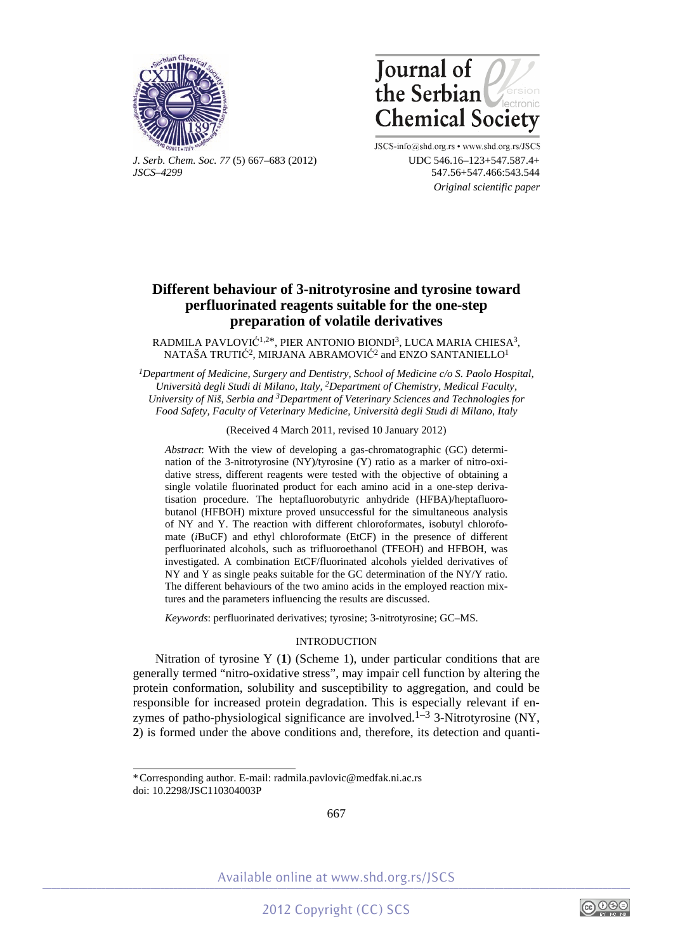



*J. Serb. Chem. Soc. 77* (5) 667–683 (2012) UDC 546.16–123+547.587.4+ *JSCS–4299* 547.56+547.466:543.544

JSCS-info@shd.org.rs • www.shd.org.rs/JSCS  *Original scientific paper* 

# **Different behaviour of 3-nitrotyrosine and tyrosine toward perfluorinated reagents suitable for the one-step preparation of volatile derivatives**

RADMILA PAVLOVIĆ1,2\*, PIER ANTONIO BIONDI3, LUCA MARIA CHIESA3, NATAŠA TRUTIĆ<sup>2</sup>, MIRJANA ABRAMOVIĆ<sup>2</sup> and ENZO SANTANIELLO<sup>1</sup>

*1Department of Medicine, Surgery and Dentistry, School of Medicine c/o S. Paolo Hospital, Università degli Studi di Milano, Italy, 2Department of Chemistry, Medical Faculty, University of Niš, Serbia and 3Department of Veterinary Sciences and Technologies for Food Safety, Faculty of Veterinary Medicine, Università degli Studi di Milano, Italy* 

(Received 4 March 2011, revised 10 January 2012)

*Abstract*: With the view of developing a gas-chromatographic (GC) determination of the 3-nitrotyrosine (NY)/tyrosine (Y) ratio as a marker of nitro-oxidative stress, different reagents were tested with the objective of obtaining a single volatile fluorinated product for each amino acid in a one-step derivatisation procedure. The heptafluorobutyric anhydride (HFBA)/heptafluorobutanol (HFBOH) mixture proved unsuccessful for the simultaneous analysis of NY and Y. The reaction with different chloroformates, isobutyl chlorofomate (*i*BuCF) and ethyl chloroformate (EtCF) in the presence of different perfluorinated alcohols, such as trifluoroethanol (TFEOH) and HFBOH, was investigated. A combination EtCF/fluorinated alcohols yielded derivatives of NY and Y as single peaks suitable for the GC determination of the NY/Y ratio. The different behaviours of the two amino acids in the employed reaction mixtures and the parameters influencing the results are discussed.

*Keywords*: perfluorinated derivatives; tyrosine; 3-nitrotyrosine; GC–MS.

# INTRODUCTION

Nitration of tyrosine Y (**1**) (Scheme 1), under particular conditions that are generally termed "nitro-oxidative stress", may impair cell function by altering the protein conformation, solubility and susceptibility to aggregation, and could be responsible for increased protein degradation. This is especially relevant if enzymes of patho-physiological significance are involved.<sup>1–3</sup> 3-Nitrotyrosine (NY, **2**) is formed under the above conditions and, therefore, its detection and quanti-

 $\overline{a}$ 



<sup>\*</sup> Corresponding author. E-mail: radmila.pavlovic@medfak.ni.ac.rs doi: 10.2298/JSC110304003P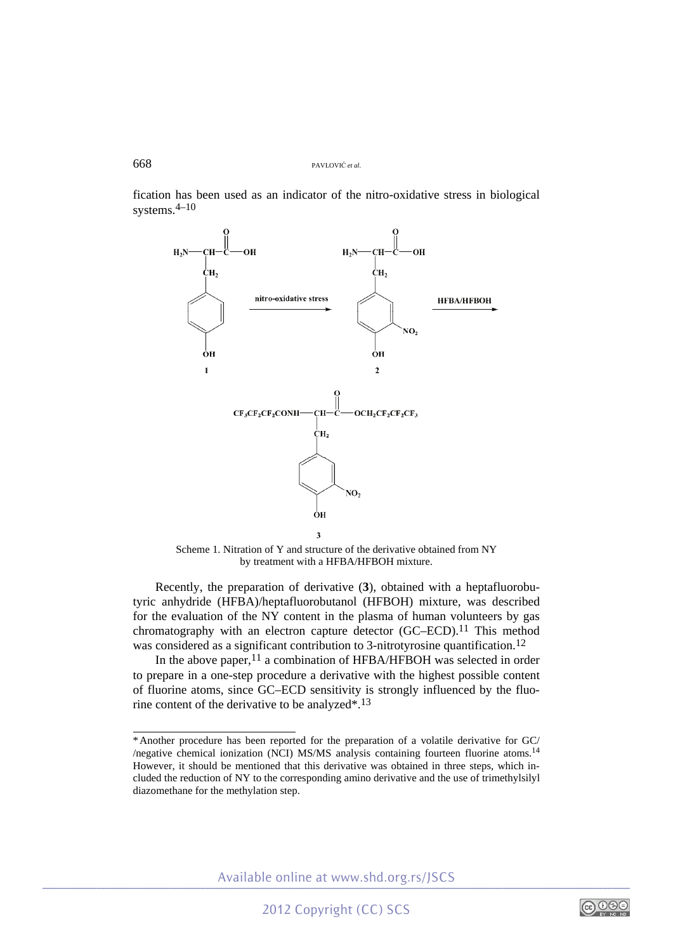fication has been used as an indicator of the nitro-oxidative stress in biological systems.4–10



Scheme 1. Nitration of Y and structure of the derivative obtained from NY by treatment with a HFBA/HFBOH mixture.

Recently, the preparation of derivative (**3**), obtained with a heptafluorobutyric anhydride (HFBA)/heptafluorobutanol (HFBOH) mixture, was described for the evaluation of the NY content in the plasma of human volunteers by gas chromatography with an electron capture detector  $(GC-ECD)$ .<sup>11</sup> This method was considered as a significant contribution to 3-nitrotyrosine quantification.<sup>12</sup>

In the above paper,<sup>11</sup> a combination of HFBA/HFBOH was selected in order to prepare in a one-step procedure a derivative with the highest possible content of fluorine atoms, since GC–ECD sensitivity is strongly influenced by the fluorine content of the derivative to be analyzed\*.13

Available online at www.shd.org.rs/JSCS<br>2012 Copyright (CC) SCS Available online at www.shd.org.rs/JSCS Available online at www.shd.org.rs/JSCS

<u>ര</u>00©

 $\overline{a}$ 

<sup>\*</sup> Another procedure has been reported for the preparation of a volatile derivative for GC/ /negative chemical ionization (NCI) MS/MS analysis containing fourteen fluorine atoms.<sup>14</sup> However, it should be mentioned that this derivative was obtained in three steps, which included the reduction of NY to the corresponding amino derivative and the use of trimethylsilyl diazomethane for the methylation step.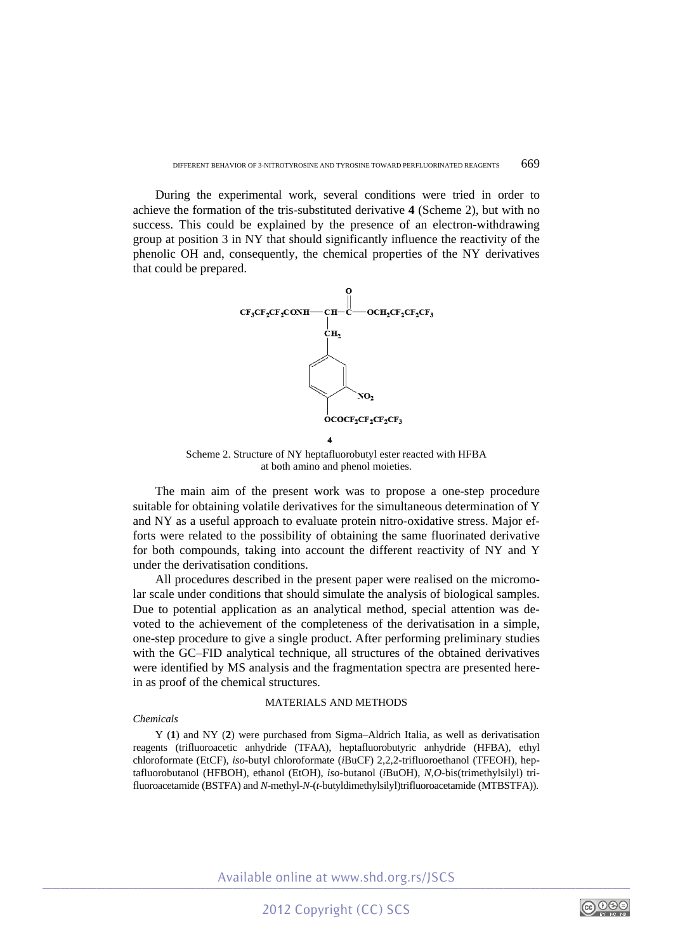During the experimental work, several conditions were tried in order to achieve the formation of the tris-substituted derivative **4** (Scheme 2), but with no success. This could be explained by the presence of an electron-withdrawing group at position 3 in NY that should significantly influence the reactivity of the phenolic OH and, consequently, the chemical properties of the NY derivatives that could be prepared.



Scheme 2. Structure of NY heptafluorobutyl ester reacted with HFBA at both amino and phenol moieties.

The main aim of the present work was to propose a one-step procedure suitable for obtaining volatile derivatives for the simultaneous determination of Y and NY as a useful approach to evaluate protein nitro-oxidative stress. Major efforts were related to the possibility of obtaining the same fluorinated derivative for both compounds, taking into account the different reactivity of NY and Y under the derivatisation conditions.

All procedures described in the present paper were realised on the micromolar scale under conditions that should simulate the analysis of biological samples. Due to potential application as an analytical method, special attention was devoted to the achievement of the completeness of the derivatisation in a simple, one-step procedure to give a single product. After performing preliminary studies with the GC–FID analytical technique, all structures of the obtained derivatives were identified by MS analysis and the fragmentation spectra are presented herein as proof of the chemical structures.

# MATERIALS AND METHODS

# *Chemicals*

Y (**1**) and NY (**2**) were purchased from Sigma–Aldrich Italia, as well as derivatisation reagents (trifluoroacetic anhydride (TFAA), heptafluorobutyric anhydride (HFBA), ethyl chloroformate (EtCF), *iso*-butyl chloroformate (*i*BuCF) 2,2,2-trifluoroethanol (TFEOH), heptafluorobutanol (HFBOH), ethanol (EtOH), *iso*-butanol (*i*BuOH), *N*,*O*-bis(trimethylsilyl) trifluoroacetamide (BSTFA) and *N*-methyl-*N*-(*t*-butyldimethylsilyl)trifluoroacetamide (MTBSTFA)).

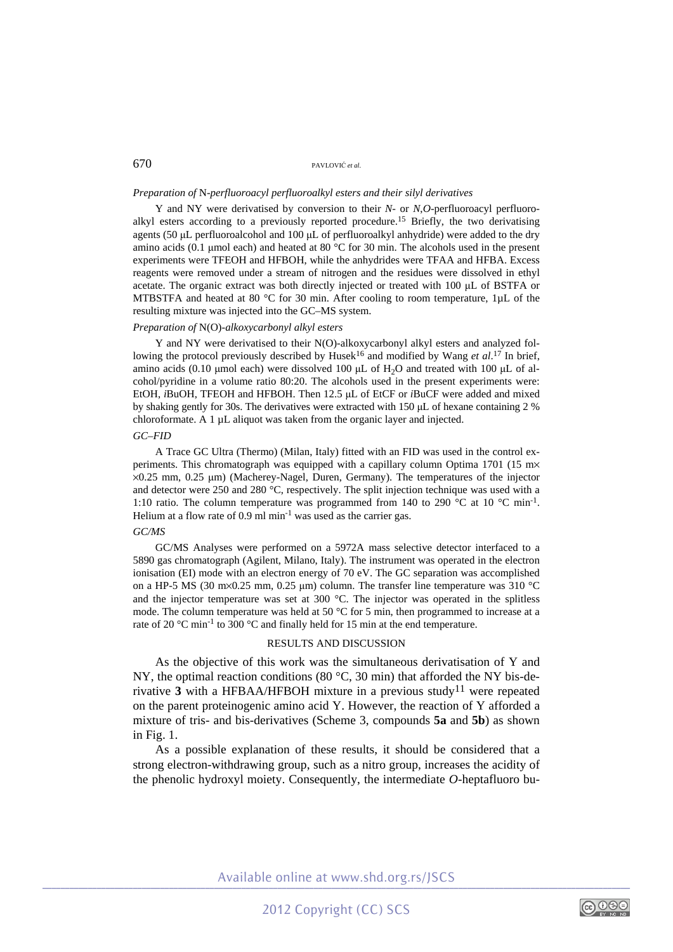#### *Preparation of* N*-perfluoroacyl perfluoroalkyl esters and their silyl derivatives*

Y and NY were derivatised by conversion to their *N*- or *N*,*O*-perfluoroacyl perfluoroalkyl esters according to a previously reported procedure.15 Briefly, the two derivatising agents (50 μL perfluoroalcohol and 100 μL of perfluoroalkyl anhydride) were added to the dry amino acids (0.1 µmol each) and heated at 80  $^{\circ}$ C for 30 min. The alcohols used in the present experiments were TFEOH and HFBOH, while the anhydrides were TFAA and HFBA. Excess reagents were removed under a stream of nitrogen and the residues were dissolved in ethyl acetate. The organic extract was both directly injected or treated with 100 μL of BSTFA or MTBSTFA and heated at 80  $^{\circ}$ C for 30 min. After cooling to room temperature, 1µL of the resulting mixture was injected into the GC–MS system.

### *Preparation of* N(O)-*alkoxycarbonyl alkyl esters*

Y and NY were derivatised to their N(O)-alkoxycarbonyl alkyl esters and analyzed following the protocol previously described by Husek<sup>16</sup> and modified by Wang *et al.*<sup>17</sup> In brief, amino acids (0.10 μmol each) were dissolved 100 μL of H<sub>2</sub>O and treated with 100 μL of alcohol/pyridine in a volume ratio 80:20. The alcohols used in the present experiments were: EtOH, *i*BuOH, TFEOH and HFBOH. Then 12.5 μL of EtCF or *i*BuCF were added and mixed by shaking gently for 30s. The derivatives were extracted with 150 μL of hexane containing 2 % chloroformate. A 1 uL aliquot was taken from the organic layer and injected.

#### *GC–FID*

A Trace GC Ultra (Thermo) (Milan, Italy) fitted with an FID was used in the control experiments. This chromatograph was equipped with a capillary column Optima 1701 (15 m× ×0.25 mm, 0.25 μm) (Macherey-Nagel, Duren, Germany). The temperatures of the injector and detector were 250 and 280 °C, respectively. The split injection technique was used with a 1:10 ratio. The column temperature was programmed from 140 to 290  $^{\circ}$ C at 10  $^{\circ}$ C min<sup>-1</sup>. Helium at a flow rate of  $0.9 \text{ ml min}^{-1}$  was used as the carrier gas.

# *GC/MS*

GC/MS Analyses were performed on a 5972A mass selective detector interfaced to a 5890 gas chromatograph (Agilent, Milano, Italy). The instrument was operated in the electron ionisation (EI) mode with an electron energy of 70 eV. The GC separation was accomplished on a HP-5 MS (30 m×0.25 mm, 0.25 μm) column. The transfer line temperature was 310 °C and the injector temperature was set at 300 °C. The injector was operated in the splitless mode. The column temperature was held at 50  $^{\circ}$ C for 5 min, then programmed to increase at a rate of 20 °C min-1 to 300 °C and finally held for 15 min at the end temperature.

#### RESULTS AND DISCUSSION

As the objective of this work was the simultaneous derivatisation of Y and NY, the optimal reaction conditions (80 °C, 30 min) that afforded the NY bis-derivative  $3$  with a HFBAA/HFBOH mixture in a previous study<sup>11</sup> were repeated on the parent proteinogenic amino acid Y. However, the reaction of Y afforded a mixture of tris- and bis-derivatives (Scheme 3, compounds **5a** and **5b**) as shown in Fig. 1.

As a possible explanation of these results, it should be considered that a strong electron-withdrawing group, such as a nitro group, increases the acidity of the phenolic hydroxyl moiety. Consequently, the intermediate *O*-heptafluoro bu-

**@ 000**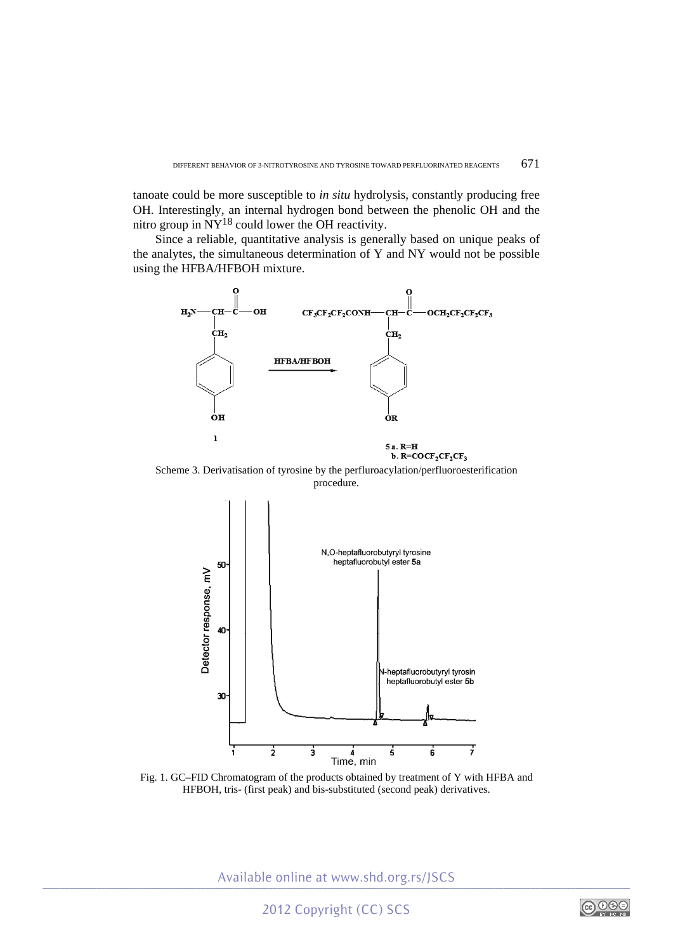tanoate could be more susceptible to *in situ* hydrolysis, constantly producing free OH. Interestingly, an internal hydrogen bond between the phenolic OH and the nitro group in  $\text{NY}^{18}$  could lower the OH reactivity.

Since a reliable, quantitative analysis is generally based on unique peaks of the analytes, the simultaneous determination of Y and NY would not be possible using the HFBA/HFBOH mixture.



b.  $R = COCF_2CF_2CF_3$ 

Scheme 3. Derivatisation of tyrosine by the perfluroacylation/perfluoroesterification procedure.



Fig. 1. GC–FID Chromatogram of the products obtained by treatment of Y with HFBA and HFBOH, tris- (first peak) and bis-substituted (second peak) derivatives.

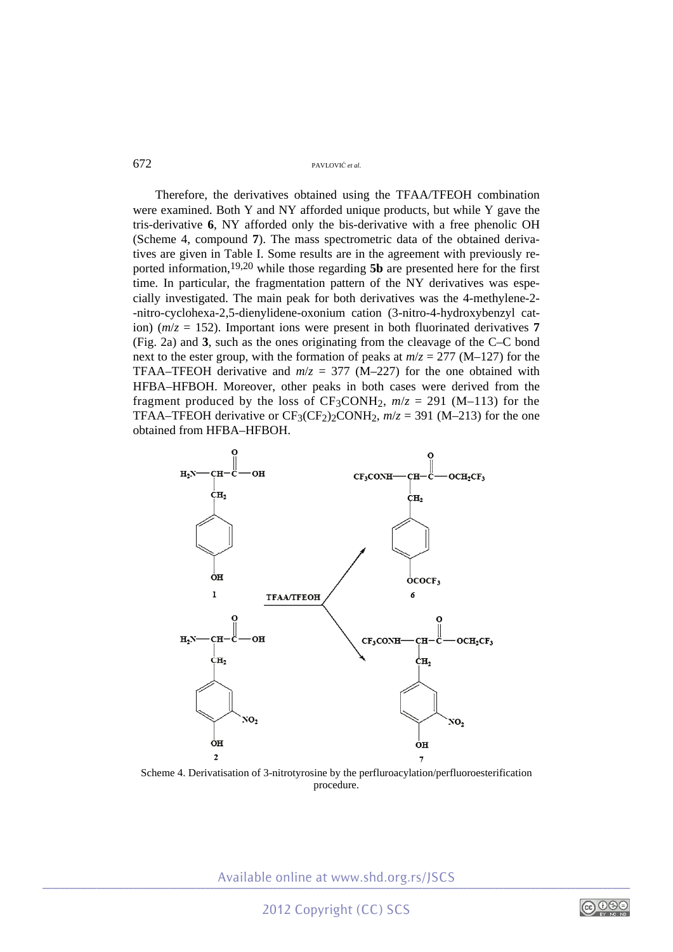Therefore, the derivatives obtained using the TFAA/TFEOH combination were examined. Both Y and NY afforded unique products, but while Y gave the tris-derivative **6**, NY afforded only the bis-derivative with a free phenolic OH (Scheme 4, compound **7**). The mass spectrometric data of the obtained derivatives are given in Table I. Some results are in the agreement with previously reported information,19,20 while those regarding **5b** are presented here for the first time. In particular, the fragmentation pattern of the NY derivatives was especially investigated. The main peak for both derivatives was the 4-methylene-2- -nitro-cyclohexa-2,5-dienylidene-oxonium cation (3-nitro-4-hydroxybenzyl cation) ( $m/z = 152$ ). Important ions were present in both fluorinated derivatives 7 (Fig. 2a) and **3**, such as the ones originating from the cleavage of the C–C bond next to the ester group, with the formation of peaks at  $m/z = 277$  (M–127) for the TFAA–TFEOH derivative and  $m/z = 377$  (M–227) for the one obtained with HFBA–HFBOH. Moreover, other peaks in both cases were derived from the fragment produced by the loss of  $CF_3COMH_2$ ,  $m/z = 291$  (M-113) for the TFAA–TFEOH derivative or  $CF_3(CF_2)_2$ CONH<sub>2</sub>,  $m/z = 391$  (M–213) for the one obtained from HFBA–HFBOH.



Scheme 4. Derivatisation of 3-nitrotyrosine by the perfluroacylation/perfluoroesterification procedure.

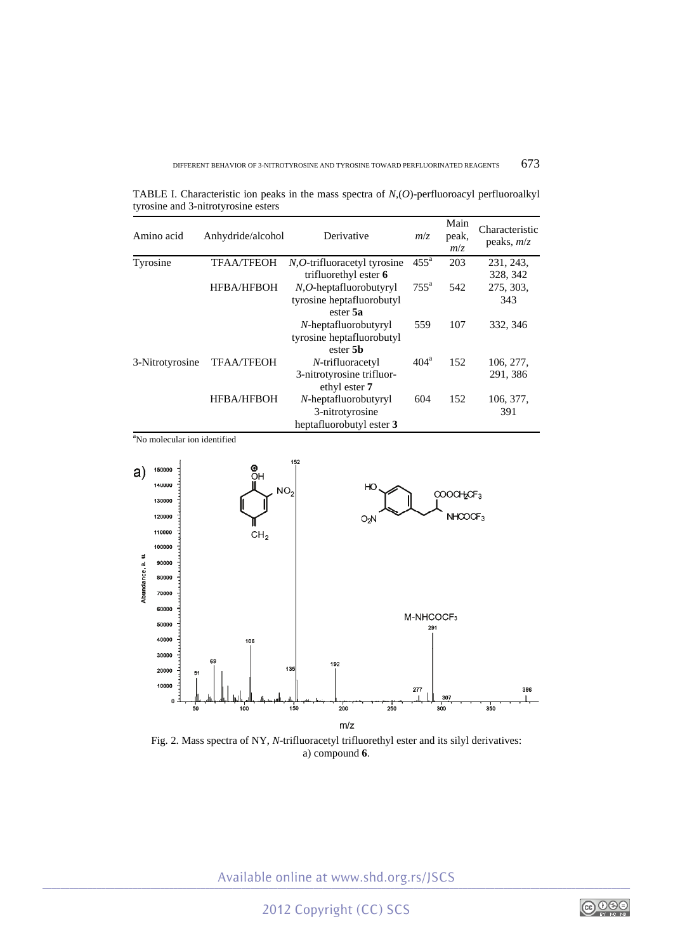| Amino acid      | Anhydride/alcohol | Derivative                                                             | m/z                | Main<br>peak,<br>m/z | Characteristic<br>peaks, $m/z$ |
|-----------------|-------------------|------------------------------------------------------------------------|--------------------|----------------------|--------------------------------|
| Tyrosine        | <b>TFAA/TFEOH</b> | <i>N,O</i> -trifluoracetyl tyrosine                                    | $455^{\mathrm{a}}$ | 203                  | 231, 243,                      |
|                 |                   | trifluorethyl ester 6                                                  |                    |                      | 328, 342                       |
|                 | <b>HFBA/HFBOH</b> | $N, O$ -heptafluorobutyryl                                             | $755^{\mathrm{a}}$ | 542                  | 275, 303,                      |
|                 |                   | tyrosine heptafluorobutyl<br>ester 5a                                  |                    |                      | 343                            |
|                 |                   | N-heptafluorobutyryl<br>tyrosine heptafluorobutyl<br>ester 5 <b>b</b>  | 559                | 107                  | 332, 346                       |
| 3-Nitrotyrosine | <b>TFAA/TFEOH</b> | N-trifluoracetyl                                                       | 404 <sup>a</sup>   | 152                  | 106, 277,                      |
|                 |                   | 3-nitrotyrosine trifluor-<br>ethyl ester 7                             |                    |                      | 291, 386                       |
|                 | <b>HFBA/HFBOH</b> | $N$ -heptafluorobutyryl<br>3-nitrotyrosine<br>heptafluorobutyl ester 3 | 604                | 152                  | 106, 377,<br>391               |

TABLE I. Characteristic ion peaks in the mass spectra of *N*,(*O*)-perfluoroacyl perfluoroalkyl tyrosine and 3-nitrotyrosine esters

<sup>a</sup>No molecular ion identified



Fig. 2. Mass spectra of NY, *N*-trifluoracetyl trifluorethyl ester and its silyl derivatives: a) compound **6**.

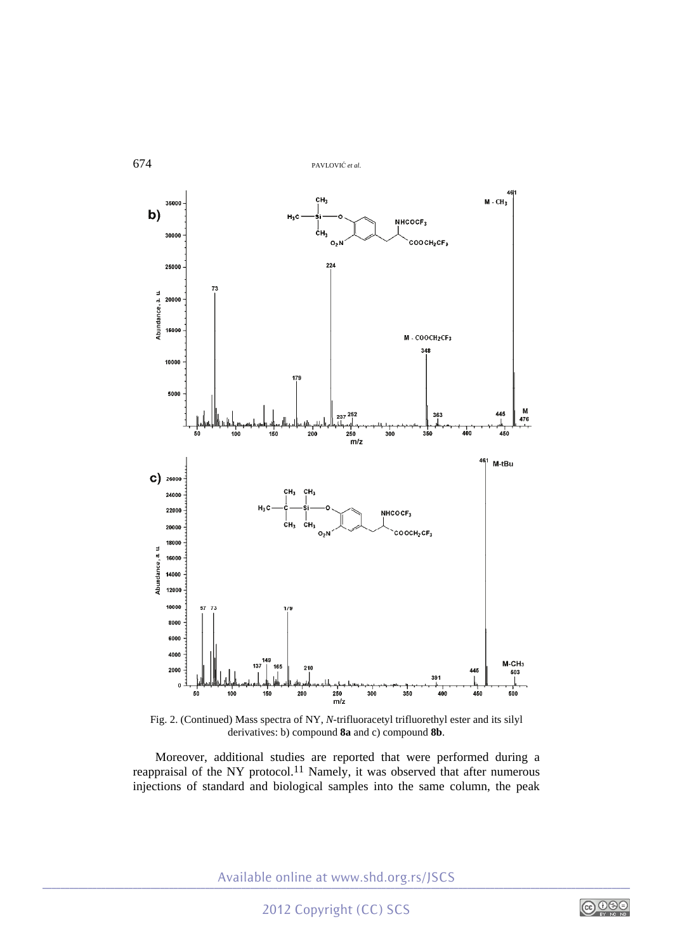



Moreover, additional studies are reported that were performed during a reappraisal of the NY protocol.<sup>11</sup> Namely, it was observed that after numerous injections of standard and biological samples into the same column, the peak

$$
\bigodot_{\text{EY} \text{ NG} \text{ NQ}}
$$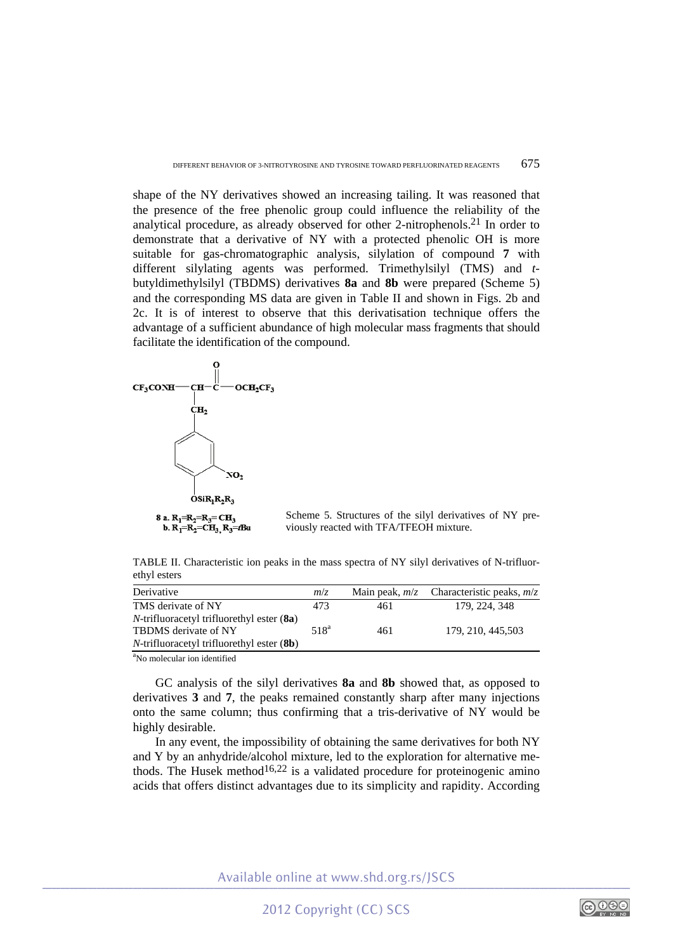shape of the NY derivatives showed an increasing tailing. It was reasoned that the presence of the free phenolic group could influence the reliability of the analytical procedure, as already observed for other 2-nitrophenols.21 In order to demonstrate that a derivative of NY with a protected phenolic OH is more suitable for gas-chromatographic analysis, silylation of compound **7** with different silylating agents was performed. Trimethylsilyl (TMS) and *t*butyldimethylsilyl (TBDMS) derivatives **8a** and **8b** were prepared (Scheme 5) and the corresponding MS data are given in Table II and shown in Figs. 2b and 2c. It is of interest to observe that this derivatisation technique offers the advantage of a sufficient abundance of high molecular mass fragments that should facilitate the identification of the compound.



Scheme 5. Structures of the silyl derivatives of NY previously reacted with TFA/TFEOH mixture.

TABLE II. Characteristic ion peaks in the mass spectra of NY silyl derivatives of N-trifluorethyl esters

| Derivative                                   | m/z     |     | Main peak, $m/z$ Characteristic peaks, $m/z$ |
|----------------------------------------------|---------|-----|----------------------------------------------|
| TMS derivate of NY                           | 473     | 461 | 179, 224, 348                                |
| $N$ -trifluoracetyl trifluorethyl ester (8a) |         |     |                                              |
| TBDMS derivate of NY                         | $518^a$ | 461 | 179, 210, 445, 503                           |
| $N$ -trifluoracetyl trifluorethyl ester (8b) |         |     |                                              |

<sup>a</sup>No molecular ion identified

GC analysis of the silyl derivatives **8a** and **8b** showed that, as opposed to derivatives **3** and **7**, the peaks remained constantly sharp after many injections onto the same column; thus confirming that a tris-derivative of NY would be highly desirable.

In any event, the impossibility of obtaining the same derivatives for both NY and Y by an anhydride/alcohol mixture, led to the exploration for alternative methods. The Husek method<sup>16,22</sup> is a validated procedure for proteinogenic amino acids that offers distinct advantages due to its simplicity and rapidity. According

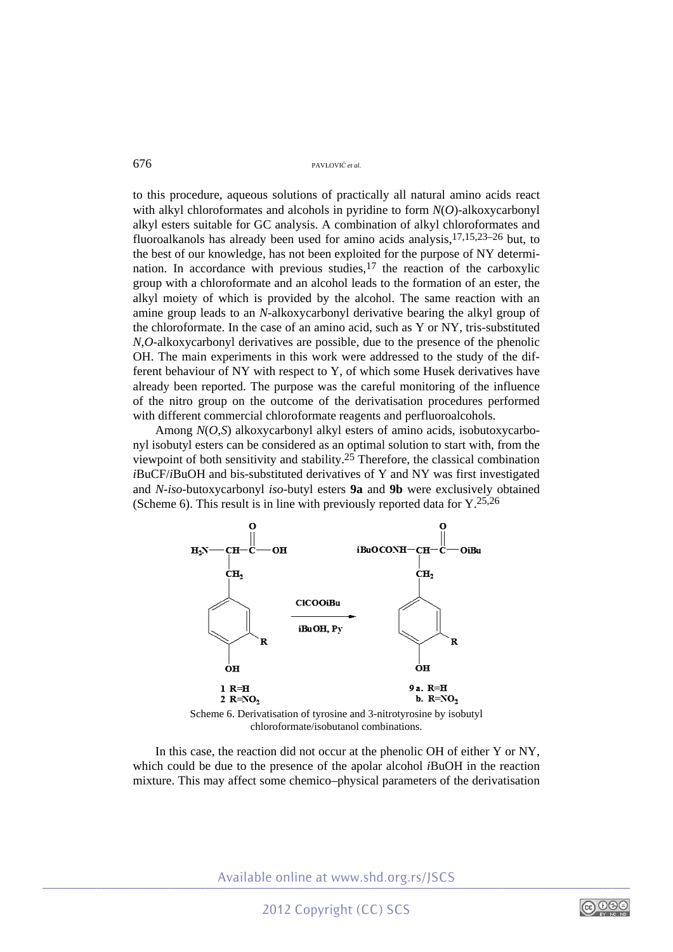to this procedure, aqueous solutions of practically all natural amino acids react with alkyl chloroformates and alcohols in pyridine to form  $N(O)$ -alkoxycarbonyl alkyl esters suitable for GC analysis. A combination of alkyl chloroformates and fluoroalkanols has already been used for amino acids analysis,17,15,23–26 but, to the best of our knowledge, has not been exploited for the purpose of NY determination. In accordance with previous studies,  $17$  the reaction of the carboxylic group with a chloroformate and an alcohol leads to the formation of an ester, the alkyl moiety of which is provided by the alcohol. The same reaction with an amine group leads to an *N*-alkoxycarbonyl derivative bearing the alkyl group of the chloroformate. In the case of an amino acid, such as Y or NY, tris-substituted *N*,*O*-alkoxycarbonyl derivatives are possible, due to the presence of the phenolic OH. The main experiments in this work were addressed to the study of the different behaviour of NY with respect to Y, of which some Husek derivatives have already been reported. The purpose was the careful monitoring of the influence of the nitro group on the outcome of the derivatisation procedures performed with different commercial chloroformate reagents and perfluoroalcohols.

Among *N*(*O*,*S*) alkoxycarbonyl alkyl esters of amino acids, isobutoxycarbonyl isobutyl esters can be considered as an optimal solution to start with, from the viewpoint of both sensitivity and stability.<sup>25</sup> Therefore, the classical combination *i*BuCF/*i*BuOH and bis-substituted derivatives of Y and NY was first investigated and *N*-*iso*-butoxycarbonyl *iso*-butyl esters **9a** and **9b** were exclusively obtained (Scheme 6). This result is in line with previously reported data for  $Y^{25,26}$ 



Scheme 6. Derivatisation of tyrosine and 3-nitrotyrosine by isobutyl chloroformate/isobutanol combinations.

In this case, the reaction did not occur at the phenolic OH of either Y or NY, which could be due to the presence of the apolar alcohol *i*BuOH in the reaction mixture. This may affect some chemico–physical parameters of the derivatisation

$$
\bigodot_{\text{BV-NG-NB}}\bigodot_{\text{N}}\bigodot_{\text{N}}\bigodot_{\text{N}}\bigodot_{\text{N}}\bigodot_{\text{N}}\bigodot_{\text{N}}\bigodot_{\text{N}}\bigodot_{\text{N}}\bigodot_{\text{N}}\bigodot_{\text{N}}\bigodot_{\text{N}}\bigodot_{\text{N}}\bigodot_{\text{N}}\bigodot_{\text{N}}\bigodot_{\text{N}}\bigodot_{\text{N}}\bigodot_{\text{N}}\bigodot_{\text{N}}\bigodot_{\text{N}}\bigodot_{\text{N}}\bigodot_{\text{N}}\bigodot_{\text{N}}\bigodot_{\text{N}}\bigodot_{\text{N}}\bigodot_{\text{N}}\bigodot_{\text{N}}\bigodot_{\text{N}}\bigodot_{\text{N}}\bigodot_{\text{N}}\bigodot_{\text{N}}\bigodot_{\text{N}}\bigodot_{\text{N}}\bigodot_{\text{N}}\bigodot_{\text{N}}\bigodot_{\text{N}}\bigodot_{\text{N}}\bigodot_{\text{N}}\bigodot_{\text{N}}\bigodot_{\text{N}}\bigodot_{\text{N}}\bigodot_{\text{N}}\bigodot_{\text{N}}\bigodot_{\text{N}}\bigodot_{\text{N}}\bigodot_{\text{N}}\bigodot_{\text{N}}\bigodot_{\text{N}}\bigodot_{\text{N}}\bigodot_{\text{N}}\bigodot_{\text{N}}\bigodot_{\text{N}}\bigodot_{\text{N}}\bigodot_{\text{N}}\bigodot_{\text{N}}\bigodot_{\text{N}}\bigodot_{\text{N}}\bigodot_{\text{N}}\bigodot_{\text{N}}\bigodot_{\text{N}}\bigodot_{\text{N}}\bigodot_{\text{N}}\bigodot_{\text{N}}\bigodot_{\text{N}}\bigodot_{\text{N}}\bigodot_{\text{N}}\bigodot_{\text{N}}\bigodot_{\text{N}}\bigodot_{\text{N}}\bigodot_{\text{N}}\bigodot_{\text{N}}\bigodot_{\text{N}}\bigodot_{\text{N}}\bigodot_{\text{N}}\bigodot_{\text{N}}\bigodot_{\
$$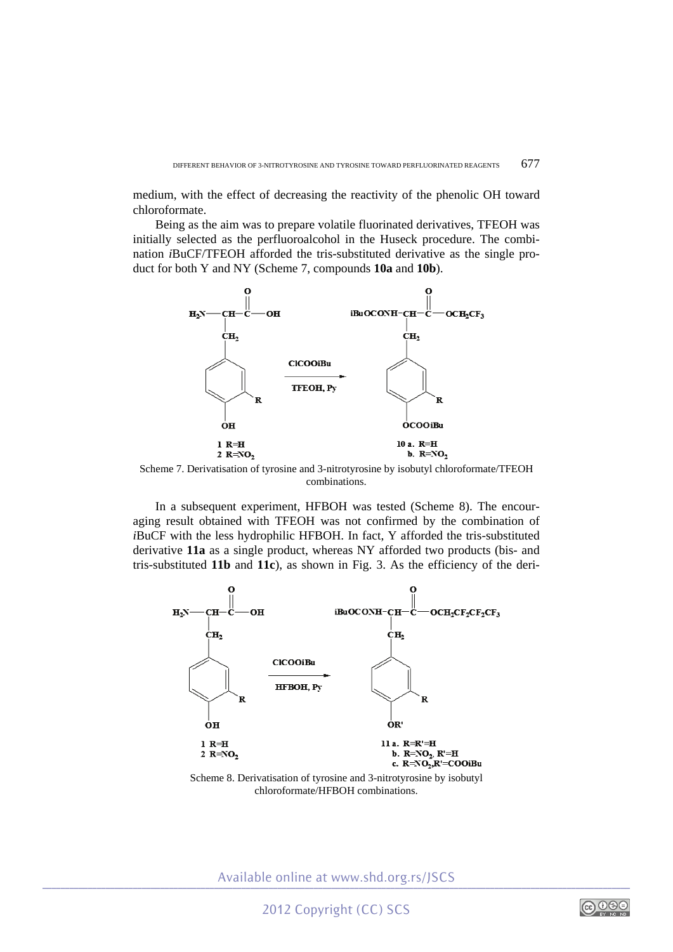medium, with the effect of decreasing the reactivity of the phenolic OH toward chloroformate.

Being as the aim was to prepare volatile fluorinated derivatives, TFEOH was initially selected as the perfluoroalcohol in the Huseck procedure. The combination *i*BuCF/TFEOH afforded the tris-substituted derivative as the single product for both Y and NY (Scheme 7, compounds **10a** and **10b**).



Scheme 7. Derivatisation of tyrosine and 3-nitrotyrosine by isobutyl chloroformate/TFEOH combinations.

In a subsequent experiment, HFBOH was tested (Scheme 8). The encouraging result obtained with TFEOH was not confirmed by the combination of *i*BuCF with the less hydrophilic HFBOH. In fact, Y afforded the tris-substituted derivative **11a** as a single product, whereas NY afforded two products (bis- and tris-substituted **11b** and **11c**), as shown in Fig. 3. As the efficiency of the deri-



Scheme 8. Derivatisation of tyrosine and 3-nitrotyrosine by isobutyl chloroformate/HFBOH combinations.

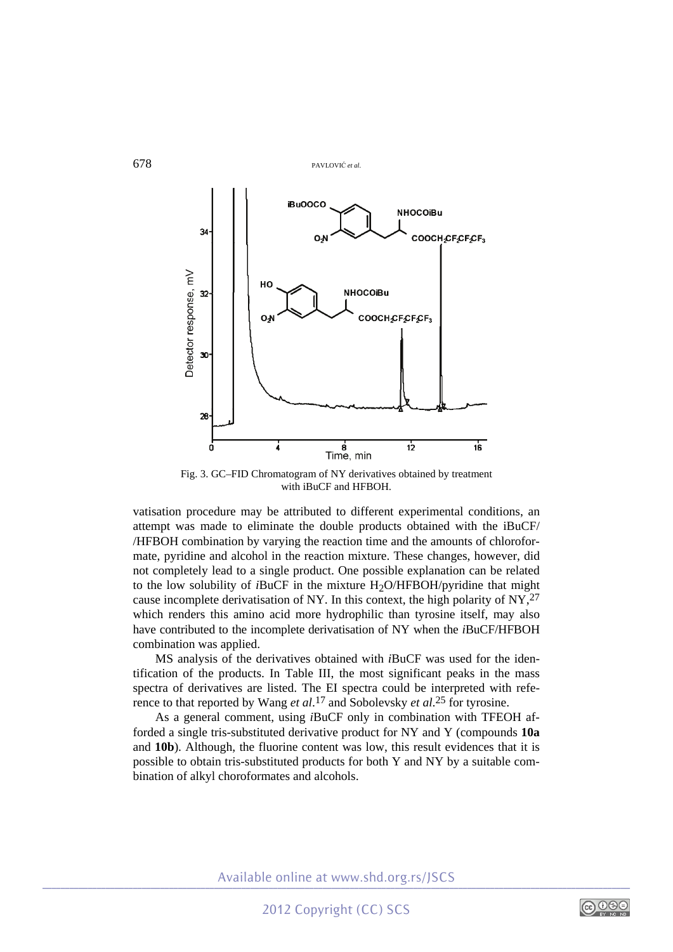

Fig. 3. GC–FID Chromatogram of NY derivatives obtained by treatment with iBuCF and HFBOH.

vatisation procedure may be attributed to different experimental conditions, an attempt was made to eliminate the double products obtained with the iBuCF/ /HFBOH combination by varying the reaction time and the amounts of chloroformate, pyridine and alcohol in the reaction mixture. These changes, however, did not completely lead to a single product. One possible explanation can be related to the low solubility of *iBuCF* in the mixture H<sub>2</sub>O/HFBOH/pyridine that might cause incomplete derivatisation of NY. In this context, the high polarity of NY,  $27$ which renders this amino acid more hydrophilic than tyrosine itself, may also have contributed to the incomplete derivatisation of NY when the *i*BuCF/HFBOH combination was applied.

MS analysis of the derivatives obtained with *i*BuCF was used for the identification of the products. In Table III, the most significant peaks in the mass spectra of derivatives are listed. The EI spectra could be interpreted with reference to that reported by Wang *et al*. 17 and Sobolevsky *et al*. 25 for tyrosine.

As a general comment, using *i*BuCF only in combination with TFEOH afforded a single tris-substituted derivative product for NY and Y (compounds **10a** and **10b**). Although, the fluorine content was low, this result evidences that it is possible to obtain tris-substituted products for both Y and NY by a suitable combination of alkyl choroformates and alcohols.

$$
\bigodot_{\text{BY-RIC-ND}}\bigodot_{\text{F}}
$$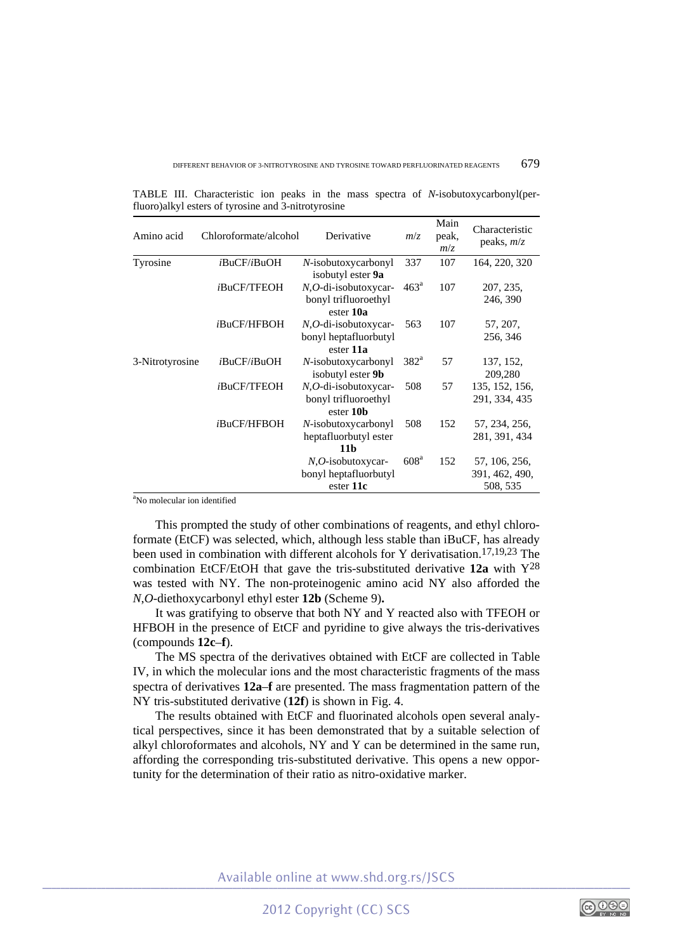TABLE III. Characteristic ion peaks in the mass spectra of *N*-isobutoxycarbonyl(perfluoro)alkyl esters of tyrosine and 3-nitrotyrosine

| Amino acid                                                                                                                                                                                                                | Chloroformate/alcohol | Derivative                                                      | m/z                | Main<br>peak,<br>m/z | Characteristic<br>peaks, $m/z$  |
|---------------------------------------------------------------------------------------------------------------------------------------------------------------------------------------------------------------------------|-----------------------|-----------------------------------------------------------------|--------------------|----------------------|---------------------------------|
| Tyrosine                                                                                                                                                                                                                  | iBuCF/iBuOH           | N-isobutoxycarbonyl<br>isobutyl ester 9a                        | 337                | 107                  | 164, 220, 320                   |
|                                                                                                                                                                                                                           | iBuCF/TFEOH           | $N, O$ -di-isobutoxycar-<br>bonyl trifluoroethyl<br>ester 10a   | 463 <sup>a</sup>   | 107                  | 207, 235,<br>246, 390           |
|                                                                                                                                                                                                                           | iBuCF/HFBOH           | $N, O$ -di-isobutoxycar-<br>bonyl heptafluorbutyl<br>ester 11a  | 563                | 107                  | 57, 207,<br>256, 346            |
| 3-Nitrotyrosine                                                                                                                                                                                                           | iBuCF/iBuOH           | N-isobutoxycarbonyl<br>isobutyl ester 9b                        | $382^{\mathrm{a}}$ | 57                   | 137, 152,<br>209,280            |
|                                                                                                                                                                                                                           | iBuCF/TFEOH           | $N, O$ -di-isobutoxycar-<br>bonyl trifluoroethyl<br>ester 10b   | 508                | 57                   | 135, 152, 156,<br>291, 334, 435 |
|                                                                                                                                                                                                                           | iBuCF/HFBOH           | N-isobutoxycarbonyl<br>heptafluorbutyl ester<br>11 <sub>b</sub> | 508                | 152                  | 57, 234, 256,<br>281, 391, 434  |
|                                                                                                                                                                                                                           |                       | $N, O$ -isobutoxycar-<br>bonyl heptafluorbutyl                  | 608 <sup>a</sup>   | 152                  | 57, 106, 256,<br>391, 462, 490, |
| $a_{N}$ in the second second to the second $c_{N}$ is the second second to the second second second second second second second second second second second second second second second second second second second secon |                       | ester 11c                                                       |                    |                      | 508, 535                        |

<sup>a</sup>No molecular ion identified

This prompted the study of other combinations of reagents, and ethyl chloroformate (EtCF) was selected, which, although less stable than iBuCF, has already been used in combination with different alcohols for Y derivatisation.<sup>17,19,23</sup> The combination EtCF/EtOH that gave the tris-substituted derivative **12a** with Y28 was tested with NY. The non-proteinogenic amino acid NY also afforded the *N*,*O*-diethoxycarbonyl ethyl ester **12b** (Scheme 9)**.** 

It was gratifying to observe that both NY and Y reacted also with TFEOH or HFBOH in the presence of EtCF and pyridine to give always the tris-derivatives (compounds **12c**–**f**).

The MS spectra of the derivatives obtained with EtCF are collected in Table IV, in which the molecular ions and the most characteristic fragments of the mass spectra of derivatives **12a**–**f** are presented. The mass fragmentation pattern of the NY tris-substituted derivative (**12f**) is shown in Fig. 4.

The results obtained with EtCF and fluorinated alcohols open several analytical perspectives, since it has been demonstrated that by a suitable selection of alkyl chloroformates and alcohols, NY and Y can be determined in the same run, affording the corresponding tris-substituted derivative. This opens a new opportunity for the determination of their ratio as nitro-oxidative marker.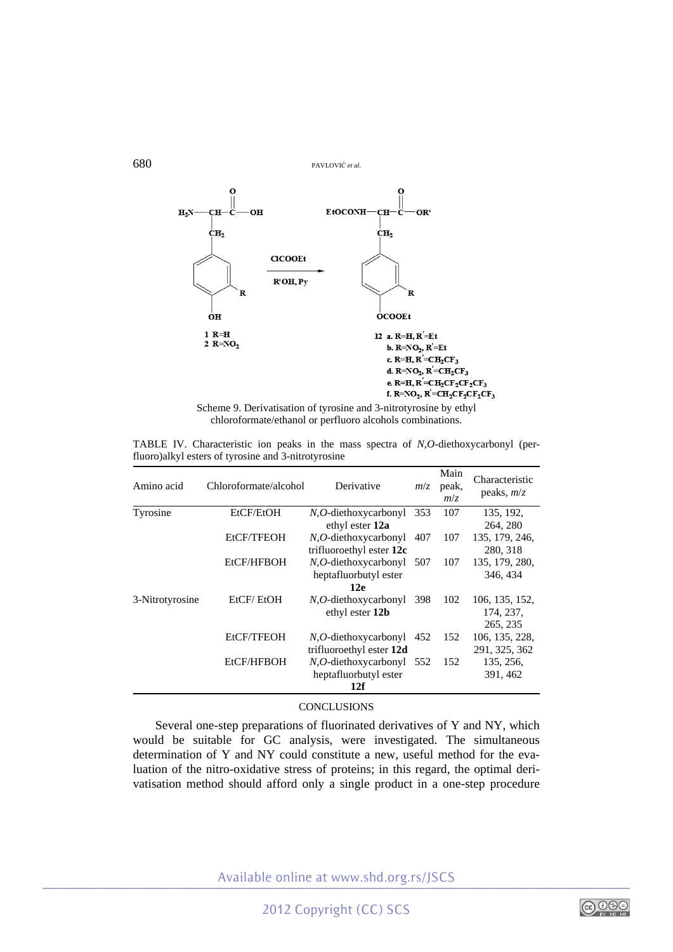![](_page_13_Figure_1.jpeg)

Scheme 9. Derivatisation of tyrosine and 3-nitrotyrosine by ethyl chloroformate/ethanol or perfluoro alcohols combinations.

TABLE IV. Characteristic ion peaks in the mass spectra of *N*,*O*-diethoxycarbonyl (perfluoro)alkyl esters of tyrosine and 3-nitrotyrosine

| Amino acid      | Chloroformate/alcohol | Derivative                                  | m/z | Main<br>peak,<br>m/z | Characteristic<br>peaks, $m/z$ |
|-----------------|-----------------------|---------------------------------------------|-----|----------------------|--------------------------------|
| Tyrosine        | EtCF/EtOH             | $N, O$ -diethoxycarbonyl                    | 353 | 107                  | 135, 192,                      |
|                 |                       | ethyl ester 12a                             |     |                      | 264, 280                       |
|                 | EtCF/TFEOH            | $N, O$ -diethoxycarbonyl                    | 407 | 107                  | 135, 179, 246,                 |
|                 |                       | trifluoroethyl ester 12c                    |     |                      | 280, 318                       |
|                 | EtCF/HFBOH            | $N, O$ -diethoxycarbonyl 507                |     | 107                  | 135, 179, 280,                 |
|                 |                       | heptafluorbutyl ester                       |     |                      | 346, 434                       |
|                 |                       | 12e                                         |     |                      |                                |
| 3-Nitrotyrosine | EtCF/EtOH             | $N, O$ -diethoxycarbonyl<br>ethyl ester 12b | 398 | 102                  | 106, 135, 152,<br>174, 237,    |
|                 | EtCF/TFEOH            | $N, O$ -diethoxycarbonyl 452                |     | 152                  | 265, 235<br>106, 135, 228,     |
|                 |                       | trifluoroethyl ester 12d                    |     |                      | 291, 325, 362                  |
|                 | EtCF/HFBOH            | $N, O$ -diethoxycarbonyl 552                |     | 152                  | 135, 256,                      |
|                 |                       | heptafluorbutyl ester                       |     |                      | 391, 462                       |
|                 |                       | 12f                                         |     |                      |                                |

### **CONCLUSIONS**

Several one-step preparations of fluorinated derivatives of Y and NY, which would be suitable for GC analysis, were investigated. The simultaneous determination of Y and NY could constitute a new, useful method for the evaluation of the nitro-oxidative stress of proteins; in this regard, the optimal derivatisation method should afford only a single product in a one-step procedure

![](_page_13_Figure_9.jpeg)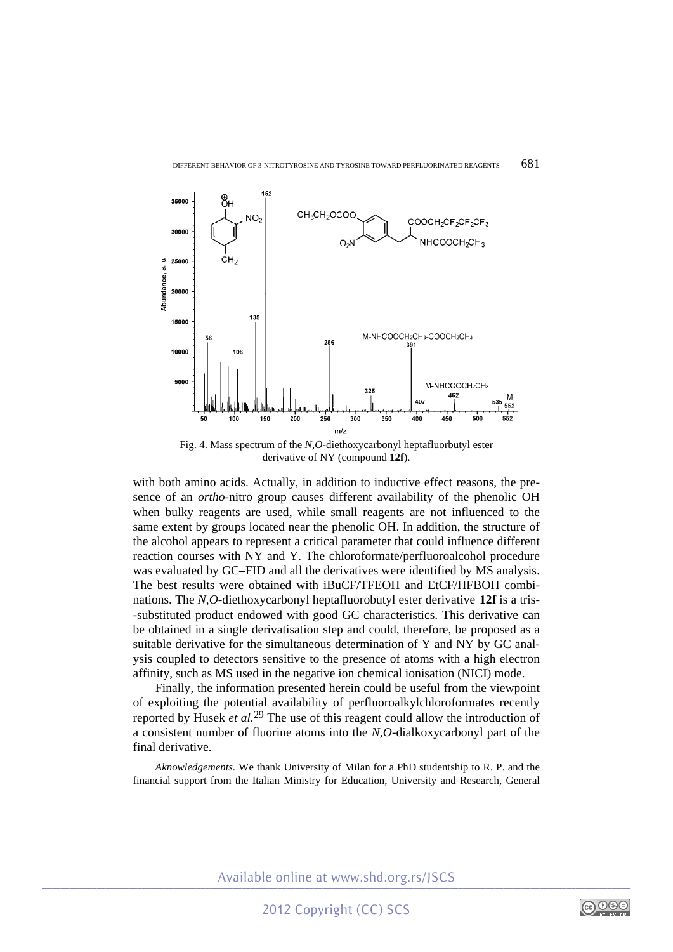![](_page_14_Figure_1.jpeg)

Fig. 4. Mass spectrum of the *N,O*-diethoxycarbonyl heptafluorbutyl ester derivative of NY (compound **12f**).

with both amino acids. Actually, in addition to inductive effect reasons, the presence of an *ortho*-nitro group causes different availability of the phenolic OH when bulky reagents are used, while small reagents are not influenced to the same extent by groups located near the phenolic OH. In addition, the structure of the alcohol appears to represent a critical parameter that could influence different reaction courses with NY and Y. The chloroformate/perfluoroalcohol procedure was evaluated by GC–FID and all the derivatives were identified by MS analysis. The best results were obtained with iBuCF/TFEOH and EtCF/HFBOH combinations. The *N*,*O*-diethoxycarbonyl heptafluorobutyl ester derivative **12f** is a tris- -substituted product endowed with good GC characteristics. This derivative can be obtained in a single derivatisation step and could, therefore, be proposed as a suitable derivative for the simultaneous determination of Y and NY by GC analysis coupled to detectors sensitive to the presence of atoms with a high electron affinity, such as MS used in the negative ion chemical ionisation (NICI) mode.

Finally, the information presented herein could be useful from the viewpoint of exploiting the potential availability of perfluoroalkylchloroformates recently reported by Husek *et al.*29 The use of this reagent could allow the introduction of a consistent number of fluorine atoms into the *N*,*O*-dialkoxycarbonyl part of the final derivative.

*Aknowledgements.* We thank University of Milan for a PhD studentship to R. P. and the financial support from the Italian Ministry for Education, University and Research, General

![](_page_14_Figure_8.jpeg)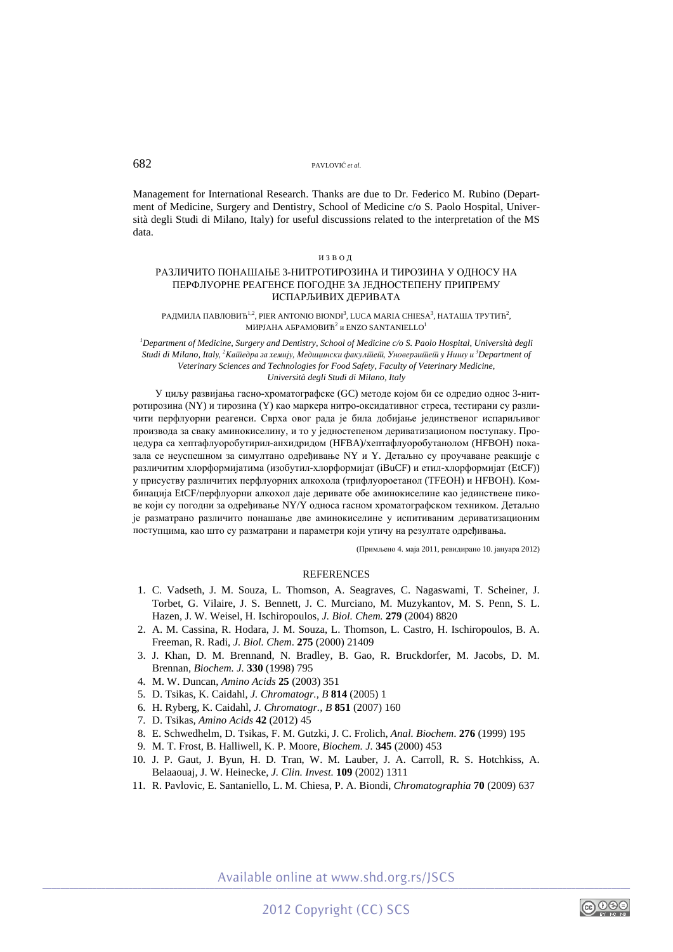Management for International Research. Thanks are due to Dr. Federico M. Rubino (Department of Medicine, Surgery and Dentistry, School of Medicine c/o S. Paolo Hospital, Università degli Studi di Milano, Italy) for useful discussions related to the interpretation of the MS data.

#### ИЗВОД

# РАЗЛИЧИТО ПОНАШАЊЕ 3-НИТРОТИРОЗИНА И ТИРОЗИНА У ОДНОСУ НА ПЕРФЛУОРНЕ РЕАГЕНСЕ ПОГОДНЕ ЗА ЈЕДНОСТЕПЕНУ ПРИПРЕМУ ИСПАРЉИВИХ ДЕРИВАТА

РАДМИЛА ПАВЛОВИЋ $^{1,2}$ , PIER ANTONIO BIONDI $^3$ , LUCA MARIA CHIESA $^3$ , HATAIIIA TPYTИЋ $^2$ , МИРЈАНА АБРАМОВИЋ $^2$  и ENZO SANTANIELLO $^1$ 

*1 Department of Medicine, Surgery and Dentistry, School of Medicine c/o S. Paolo Hospital, Università degli*   $\it Studi$  di Milano, Italy, <sup>2</sup>Кайдедра за хемију, Медицински факулійей, Уноверзийей у Нишу и <sup>з</sup>Department of *Veterinary Sciences and Technologies for Food Safety, Faculty of Veterinary Medicine, Università degli Studi di Milano, Italy*

У циљу развијања гасно-хроматографске (GC) методе којом би се одредио однос 3-нитротирозина (NY) и тирозина (Y) као маркера нитро-оксидативног стреса, тестирани су различити перфлуорни реагенси. Сврха овог рада је била добијање јединственог испариљивог производа за сваку аминокиселину, и то у једностепеном дериватизационом поступаку. Процедура са хептафлуоробутирил-анхидридом (HFBA)/хептафлуоробутанолом (HFBOH) показала се неуспешном за симултано одређивање NY и Y. Детаљно су проучаване реакције с различитим хлорформијатима (изобутил-хлорформијат (iBuCF) и етил-хлорформијат (EtCF)) у присуству различитих перфлуорних алкохола (трифлуороетанол (TFEOH) и HFBOH). Комбинација EtCF/перфлуорни алкохол даје деривате обе аминокиселине као јединствене пикове који су погодни за одређивање NY/Y односа гасном хроматографском техником. Детаљно је разматрано различито понашање две аминокиселине у испитиваним дериватизационим поступцима, као што су разматрани и параметри који утичу на резултате одређивања.

(Примљено 4. маја 2011, ревидирано 10. јануара 2012)

# **REFERENCES**

- 1. C. Vadseth, J. M. Souza, L. Thomson, A. Seagraves, C. Nagaswami, T. Scheiner, J. Torbet, G. Vilaire, J. S. Bennett, J. C. Murciano, M. Muzykantov, M. S. Penn, S. L. Hazen, J. W. Weisel, H. Ischiropoulos, *J. Biol. Chem.* **279** (2004) 8820
- 2. A. M. Cassina, R. Hodara, J. M. Souza, L. Thomson, L. Castro, H. Ischiropoulos, B. A. Freeman, R. Radi, *J. Biol. Chem*. **275** (2000) 21409
- 3. J. Khan, D. M. Brennand, N. Bradley, B. Gao, R. Bruckdorfer, M. Jacobs, D. M. Brennan, *Biochem. J.* **330** (1998) 795
- 4. M. W. Duncan, *Amino Acids* **25** (2003) 351
- 5. D. Tsikas, K. Caidahl, *J. Chromatogr., B* **814** (2005) 1
- 6. H. Ryberg, K. Caidahl, *J. Chromatogr., B* **851** (2007) 160
- 7. D. Tsikas, *Amino Acids* **42** (2012) 45
- 8. E. Schwedhelm, D. Tsikas, F. M. Gutzki, J. C. Frolich, *Anal. Biochem*. **276** (1999) 195
- 9. M. T. Frost, B. Halliwell, K. P. Moore, *Biochem. J.* **345** (2000) 453
- 10. J. P. Gaut, J. Byun, H. D. Tran, W. M. Lauber, J. A. Carroll, R. S. Hotchkiss, A. Belaaouaj, J. W. Heinecke, *J. Clin. Invest.* **109** (2002) 1311
- 11. R. Pavlovic, E. Santaniello, L. M. Chiesa, P. A. Biondi, *Chromatographia* **70** (2009) 637

**@** 090